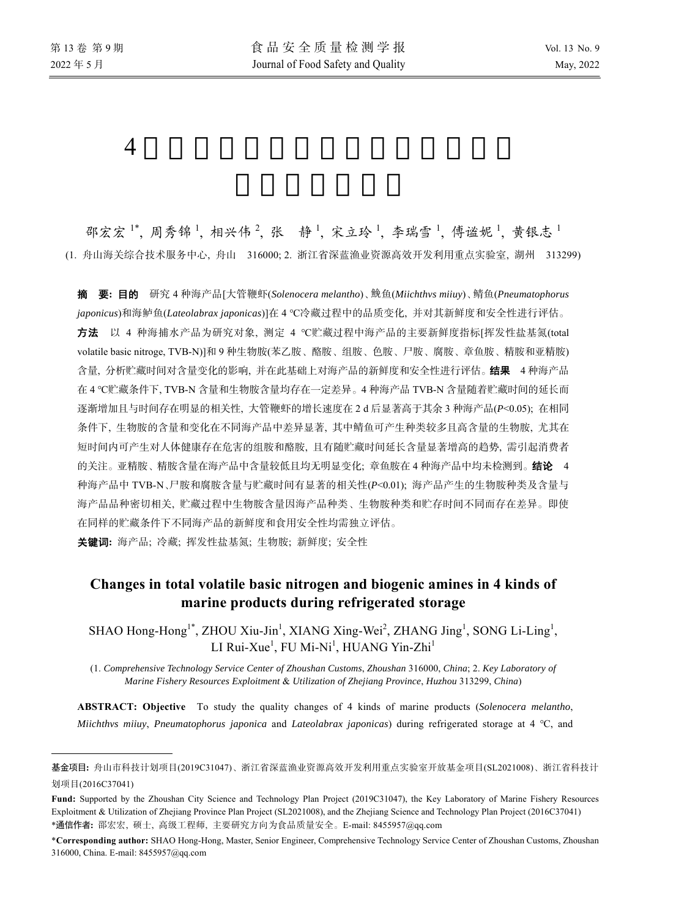$\overline{a}$ 

# $4$

邵宏宏<sup>1\*</sup>,周秀锦1,相兴伟2,张静1,宋立玲1,李瑞雪1,傅谧妮1,黄银志1 (1. 舟山海关综合技术服务中心, 舟山 316000; 2. 浙江省深蓝渔业资源高效开发利用重点实验室, 湖州 313299)

摘要**:** 目的 研究 4 种海产品[大管鞭虾(*Solenocera melantho*)、 鱼鮸 (*Miichthvs miiuy*)、鲭鱼(*Pneumatophorus japonicus*)和海鲈鱼(*Lateolabrax japonicas*)]在 4 ℃冷藏过程中的品质变化, 并对其新鲜度和安全性进行评估。 方法 以 4 种海捕水产品为研究对象, 测定 4 ℃贮藏过程中海产品的主要新鲜度指标[挥发性盐基氮(total volatile basic nitroge, TVB-N)]和 9 种生物胺(苯乙胺、酪胺、组胺、色胺、尸胺、腐胺、章鱼胺、精胺和亚精胺) 含量, 分析贮藏时间对含量变化的影响, 并在此基础上对海产品的新鲜度和安全性进行评估。结果4 种海产品 在 4 ℃贮藏条件下, TVB-N 含量和生物胺含量均存在一定差异。4 种海产品 TVB-N 含量随着贮藏时间的延长而 逐渐增加且与时间存在明显的相关性, 大管鞭虾的增长速度在 2 d 后显著高于其余 3 种海产品(*P*<0.05); 在相同 条件下, 生物胺的含量和变化在不同海产品中差异显著, 其中鲭鱼可产生种类较多且高含量的生物胺, 尤其在 短时间内可产生对人体健康存在危害的组胺和酪胺, 且有随贮藏时间延长含量显著增高的趋势, 需引起消费者 的关注。亚精胺、精胺含量在海产品中含量较低且均无明显变化; 章鱼胺在 4 种海产品中均未检测到。结论4 种海产品中 TVB-N、尸胺和腐胺含量与贮藏时间有显著的相关性(*P*<0.01); 海产品产生的生物胺种类及含量与 海产品品种密切相关, 贮藏过程中生物胺含量因海产品种类、生物胺种类和贮存时间不同而存在差异。即使 在同样的贮藏条件下不同海产品的新鲜度和食用安全性均需独立评估。

关键词**:** 海产品; 冷藏; 挥发性盐基氮; 生物胺; 新鲜度; 安全性

## **Changes in total volatile basic nitrogen and biogenic amines in 4 kinds of marine products during refrigerated storage**

SHAO Hong-Hong<sup>1\*</sup>, ZHOU Xiu-Jin<sup>1</sup>, XIANG Xing-Wei<sup>2</sup>, ZHANG Jing<sup>1</sup>, SONG Li-Ling<sup>1</sup>, LI Rui-Xue<sup>1</sup>, FU Mi-Ni<sup>1</sup>, HUANG Yin-Zhi<sup>1</sup>

(1. *Comprehensive Technology Service Center of Zhoushan Customs*, *Zhoushan* 316000, *China*; 2. *Key Laboratory of Marine Fishery Resources Exploitment* & *Utilization of Zhejiang Province*, *Huzhou* 313299, *China*)

**ABSTRACT: Objective** To study the quality changes of 4 kinds of marine products (*Solenocera melantho*, *Miichthvs miiuy*, *Pneumatophorus japonica* and *Lateolabrax japonicas*) during refrigerated storage at 4 ℃, and

基金项目**:** 舟山市科技计划项目(2019C31047)、浙江省深蓝渔业资源高效开发利用重点实验室开放基金项目(SL2021008)、浙江省科技计 划项目(2016C37041)

**Fund:** Supported by the Zhoushan City Science and Technology Plan Project (2019C31047), the Key Laboratory of Marine Fishery Resources Exploitment & Utilization of Zhejiang Province Plan Project (SL2021008), and the Zhejiang Science and Technology Plan Project (2016C37041) \*通信作者**:** 邵宏宏, 硕士, 高级工程师, 主要研究方向为食品质量安全。E-mail: 8455957@qq.com

<sup>\*</sup>**Corresponding author:** SHAO Hong-Hong, Master, Senior Engineer, Comprehensive Technology Service Center of Zhoushan Customs, Zhoushan 316000, China. E-mail: 8455957@qq.com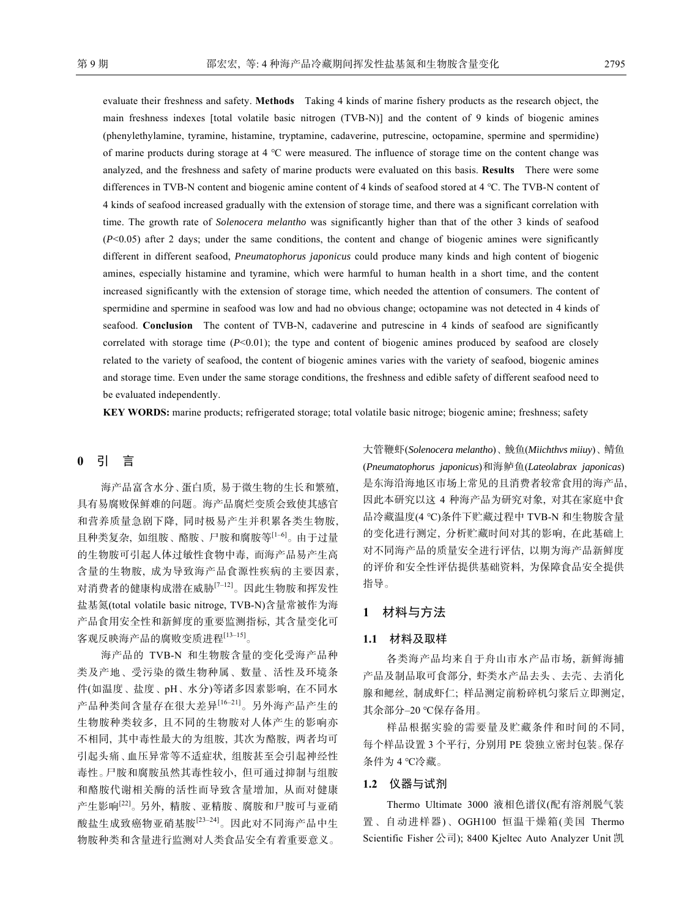evaluate their freshness and safety. **Methods** Taking 4 kinds of marine fishery products as the research object, the main freshness indexes [total volatile basic nitrogen (TVB-N)] and the content of 9 kinds of biogenic amines (phenylethylamine, tyramine, histamine, tryptamine, cadaverine, putrescine, octopamine, spermine and spermidine) of marine products during storage at 4 ℃ were measured. The influence of storage time on the content change was analyzed, and the freshness and safety of marine products were evaluated on this basis. **Results** There were some differences in TVB-N content and biogenic amine content of 4 kinds of seafood stored at 4 ℃. The TVB-N content of 4 kinds of seafood increased gradually with the extension of storage time, and there was a significant correlation with time. The growth rate of *Solenocera melantho* was significantly higher than that of the other 3 kinds of seafood (*P*<0.05) after 2 days; under the same conditions, the content and change of biogenic amines were significantly different in different seafood, *Pneumatophorus japonicus* could produce many kinds and high content of biogenic amines, especially histamine and tyramine, which were harmful to human health in a short time, and the content increased significantly with the extension of storage time, which needed the attention of consumers. The content of spermidine and spermine in seafood was low and had no obvious change; octopamine was not detected in 4 kinds of seafood. **Conclusion** The content of TVB-N, cadaverine and putrescine in 4 kinds of seafood are significantly correlated with storage time  $(P<0.01)$ ; the type and content of biogenic amines produced by seafood are closely related to the variety of seafood, the content of biogenic amines varies with the variety of seafood, biogenic amines and storage time. Even under the same storage conditions, the freshness and edible safety of different seafood need to be evaluated independently.

**KEY WORDS:** marine products; refrigerated storage; total volatile basic nitroge; biogenic amine; freshness; safety

## **0** 引 言

海产品富含水分、蛋白质, 易于微生物的生长和繁殖, 具有易腐败保鲜难的问题。海产品腐烂变质会致使其感官 和营养质量急剧下降, 同时极易产生并积累各类生物胺, 且种类复杂, 如组胺、酪胺、尸胺和腐胺等[1‒6]。由于过量 的生物胺可引起人体过敏性食物中毒, 而海产品易产生高 含量的生物胺, 成为导致海产品食源性疾病的主要因素, 对消费者的健康构成潜在威胁[7‒12]。因此生物胺和挥发性 盐基氮(total volatile basic nitroge, TVB-N)含量常被作为海 产品食用安全性和新鲜度的重要监测指标, 其含量变化可 客观反映海产品的腐败变质进程[13‒15]。

海产品的 TVB-N 和生物胺含量的变化受海产品种 类及产地、受污染的微生物种属、数量、活性及环境条 件(如温度、盐度、pH、水分)等诸多因素影响, 在不同水 产品种类间含量存在很大差异[16‒21]。另外海产品产生的 生物胺种类较多, 且不同的生物胺对人体产生的影响亦 不相同, 其中毒性最大的为组胺, 其次为酪胺, 两者均可 引起头痛、血压异常等不适症状, 组胺甚至会引起神经性 毒性。尸胺和腐胺虽然其毒性较小, 但可通过抑制与组胺 和酪胺代谢相关酶的活性而导致含量增加, 从而对健康 产生影响[22]。另外, 精胺、亚精胺、腐胺和尸胺可与亚硝 酸盐生成致癌物亚硝基胺[23‒24]。因此对不同海产品中生 物胺种类和含量进行监测对人类食品安全有着重要意义。

大管鞭虾(*Solenocera melantho*)、鮸鱼(*Miichthvs miiuy*)、鲭鱼 (*Pneumatophorus japonicus*)和海鲈鱼(*Lateolabrax japonicas*) 是东海沿海地区市场上常见的且消费者较常食用的海产品, 因此本研究以这 4 种海产品为研究对象, 对其在家庭中食 品冷藏温度(4 ℃)条件下贮藏过程中 TVB-N 和生物胺含量 的变化进行测定, 分析贮藏时间对其的影响, 在此基础上 对不同海产品的质量安全进行评估, 以期为海产品新鲜度 的评价和安全性评估提供基础资料, 为保障食品安全提供 指导。

#### **1** 材料与方法

#### **1.1** 材料及取样

各类海产品均来自于舟山市水产品市场, 新鲜海捕 产品及制品取可食部分, 虾类水产品去头、去壳、去消化 腺和鳃丝, 制成虾仁; 样品测定前粉碎机匀浆后立即测定, 其余部分-20 ℃保存备用。

样品根据实验的需要量及贮藏条件和时间的不同, 每个样品设置 3 个平行, 分别用 PE 袋独立密封包装。保存 条件为 4 ℃冷藏。

## **1.2** 仪器与试剂

Thermo Ultimate 3000 液相色谱仪(配有溶剂脱气装 置、自动进样器)、OGH100 恒温干燥箱(美国 Thermo Scientific Fisher 公司); 8400 Kjeltec Auto Analyzer Unit 凯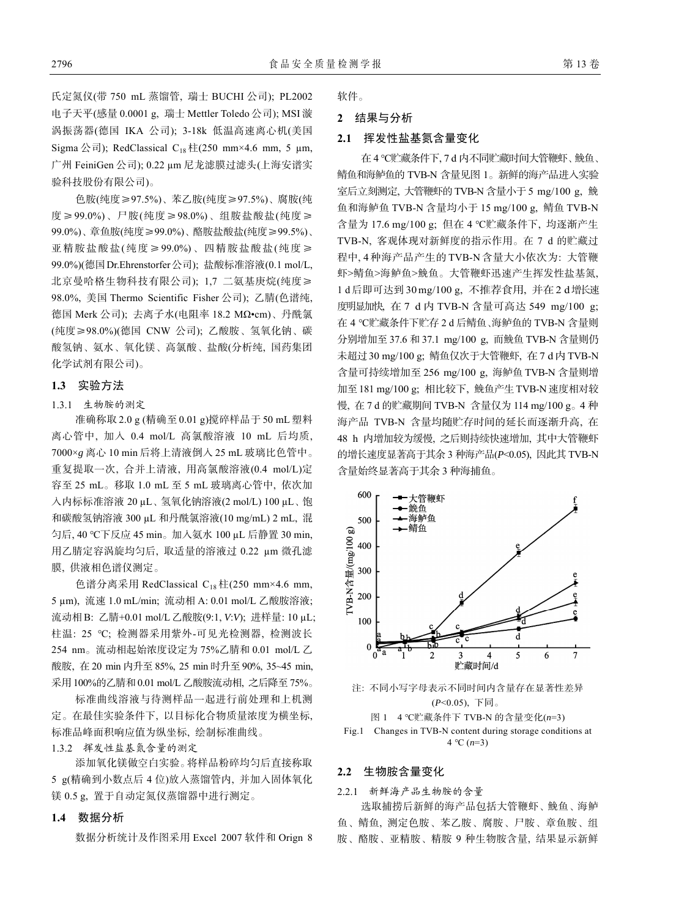氏定氮仪(带 750 mL 蒸馏管, 瑞士 BUCHI 公司); PL2002 电子天平(感量 0.0001 g, 瑞士 Mettler Toledo 公司); MSI 漩 涡振荡器(德国 IKA 公司); 3-18k 低温高速离心机(美国 Sigma 公司); RedClassical C<sub>18</sub> 柱(250 mm×4.6 mm, 5 µm, 广州 FeiniGen 公司); 0.22 µm 尼龙滤膜过滤头(上海安谱实 验科技股份有限公司)。

色胺(纯度≥97.5%)、苯乙胺(纯度≥97.5%)、腐胺(纯 度≥99.0%)、尸胺(纯度≥98.0%)、组胺盐酸盐(纯度≥ 99.0%)、章鱼胺(纯度≥99.0%)、酪胺盐酸盐(纯度≥99.5%)、 亚精胺盐酸盐(纯度≥99.0%)、四精胺盐酸盐(纯度≥ 99.0%)(德国Dr.Ehrenstorfer公司); 盐酸标准溶液(0.1 mol/L, 北京曼哈格生物科技有限公司); 1,7 二氨基庚烷(纯度≥ 98.0%, 美国 Thermo Scientific Fisher 公司); 乙腈(色谱纯, 德国 Merk 公司); 去离子水(电阻率 18.2 MΩ•cm)、丹酰氯 (纯度≥98.0%)(德国 CNW 公司); 乙酸胺、氢氧化钠、碳 酸氢钠、氨水、氧化镁、高氯酸、盐酸(分析纯, 国药集团 化学试剂有限公司)。

## **1.3** 实验方法

## 1.3.1 生物胺的测定

准确称取 2.0 g (精确至 0.01 g)搅碎样品于 50 mL 塑料 离心管中, 加入 0.4 mol/L 高氯酸溶液 10 mL 后均质, 7000×*g* 离心 10 min 后将上清液倒入 25 mL 玻璃比色管中。 重复提取一次, 合并上清液, 用高氯酸溶液(0.4 mol/L)定 容至 25 mL。移取 1.0 mL 至 5 mL 玻璃离心管中, 依次加 入内标标准溶液 20 µL、氢氧化钠溶液(2 mol/L) 100 µL、饱 和碳酸氢钠溶液 300 µL 和丹酰氯溶液(10 mg/mL) 2 mL, 混 匀后, 40 ℃下反应 45 min。加入氨水 100 µL 后静置 30 min, 用乙腈定容涡旋均匀后, 取适量的溶液过 0.22 µm 微孔滤 膜, 供液相色谱仪测定。

色谱分离采用 RedClassical C18 柱(250 mm×4.6 mm, 5 µm), 流速 1.0 mL/min; 流动相 A: 0.01 mol/L 乙酸胺溶液; 流动相 B: 乙腈+0.01 mol/L 乙酸胺(9:1, *V*:*V*); 进样量: 10 µL; 柱温: 25 ℃; 检测器采用紫外-可见光检测器, 检测波长 254 nm。流动相起始浓度设定为 75%乙腈和 0.01 mol/L 乙 酸胺, 在 20 min 内升至 85%, 25 min 时升至 90%, 35~45 min, 采用 100%的乙腈和 0.01 mol/L 乙酸胺流动相, 之后降至 75%。

标准曲线溶液与待测样品一起进行前处理和上机测 定。在最佳实验条件下, 以目标化合物质量浓度为横坐标, 标准品峰面积响应值为纵坐标, 绘制标准曲线。

1.3.2 挥发性盐基氮含量的测定

添加氧化镁做空白实验。将样品粉碎均匀后直接称取 5 g(精确到小数点后 4 位)放入蒸馏管内, 并加入固体氧化 镁 0.5 g, 置于自动定氮仪蒸馏器中进行测定。

## **1.4** 数据分析

数据分析统计及作图采用 Excel 2007 软件和 Orign 8

软件。

## **2** 结果与分析

## **2.1** 挥发性盐基氮含量变化

在 4 ℃贮藏条件下, 7 d 内不同贮藏时间大管鞭虾、鮸鱼、 鲭鱼和海鲈鱼的 TVB-N 含量见图 1。新鲜的海产品进入实验 室后立刻测定, 大管鞭虾的 TVB-N 含量小于5 mg/100 g, 鮸 鱼和海鲈鱼 TVB-N 含量均小于 15 mg/100 g, 鲭鱼 TVB-N 含量为 17.6 mg/100 g; 但在 4 ℃贮藏条件下, 均逐渐产生 TVB-N, 客观体现对新鲜度的指示作用。在 7 d 的贮藏过 程中, 4 种海产品产生的 TVB-N含量大小依次为: 大管鞭 虾>鲭鱼>海鲈鱼>鮸鱼。大管鞭虾迅速产生挥发性盐基氮, 1 d 后即可达到 30 mg/100 g, 不推荐食用, 并在2 d增长速 度明显加快, 在 7 d 内 TVB-N 含量可高达 549 mg/100 g; 在 4 ℃贮藏条件下贮存 2 d 后鲭鱼、海鲈鱼的 TVB-N 含量则 分别增加至 37.6 和 37.1 mg/100 g, 而鮸鱼 TVB-N 含量则仍 未超过30 mg/100 g; 鲭鱼仅次于大管鞭虾, 在7 d内TVB-N 含量可持续增加至 256 mg/100 g, 海鲈鱼 TVB-N 含量则增 加至181 mg/100 g; 相比较下, 鮸鱼产生TVB-N 速度相对较 慢, 在 7 d 的贮藏期间 TVB-N 含量仅为 114 mg/100 g。4 种 海产品 TVB-N 含量均随贮存时间的延长而逐渐升高, 在 48 h 内增加较为缓慢, 之后则持续快速增加, 其中大管鞭虾 的增长速度显著高于其余 3 种海产品(*P*<0.05), 因此其 TVB-N 含量始终显著高于其余 3 种海捕鱼。



注: 不同小写字母表示不同时间内含量存在显著性差异 (*P*<0.05), 下同。

#### 图 1 4 ℃贮藏条件下 TVB-N 的含量变化(*n*=3)



#### **2.2** 生物胺含量变化

2.2.1 新鲜海产品生物胺的含量

选取捕捞后新鲜的海产品包括大管鞭虾、鮸鱼、海鲈 鱼、鲭鱼, 测定色胺、苯乙胺、腐胺、尸胺、章鱼胺、组 胺、酪胺、亚精胺、精胺 9 种生物胺含量, 结果显示新鲜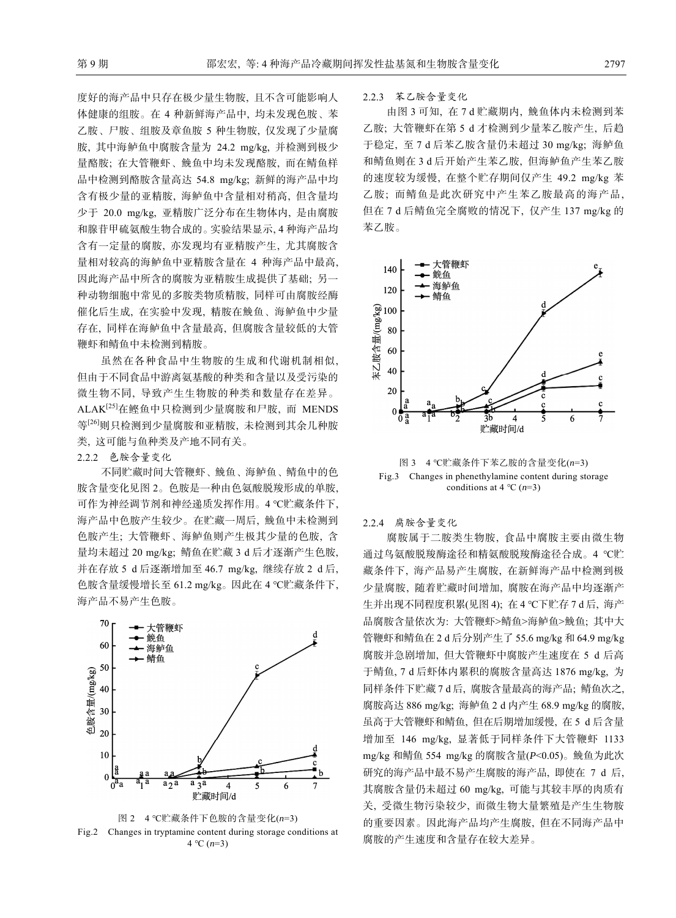度好的海产品中只存在极少量生物胺, 且不含可能影响人 体健康的组胺。在 4 种新鲜海产品中, 均未发现色胺、苯 乙胺、尸胺、组胺及章鱼胺 5 种生物胺, 仅发现了少量腐 胺, 其中海鲈鱼中腐胺含量为 24.2 mg/kg, 并检测到极少 量酪胺; 在大管鞭虾、鮸鱼中均未发现酪胺, 而在鲭鱼样 品中检测到酪胺含量高达 54.8 mg/kg; 新鲜的海产品中均 含有极少量的亚精胺, 海鲈鱼中含量相对稍高, 但含量均 少于 20.0 mg/kg, 亚精胺广泛分布在生物体内, 是由腐胺 和腺苷甲硫氨酸生物合成的。实验结果显示, 4 种海产品均 含有一定量的腐胺, 亦发现均有亚精胺产生, 尤其腐胺含 量相对较高的海鲈鱼中亚精胺含量在 4 种海产品中最高, 因此海产品中所含的腐胺为亚精胺生成提供了基础; 另一 种动物细胞中常见的多胺类物质精胺, 同样可由腐胺经酶 催化后生成, 在实验中发现, 精胺在鮸鱼、海鲈鱼中少量 存在, 同样在海鲈鱼中含量最高, 但腐胺含量较低的大管 鞭虾和鲭鱼中未检测到精胺。

虽然在各种食品中生物胺的生成和代谢机制相似, 但由于不同食品中游离氨基酸的种类和含量以及受污染的 微生物不同, 导致产生生物胺的种类和数量存在差异。 ALAK[25]在鲣鱼中只检测到少量腐胺和尸胺, 而 MENDS 等[26]则只检测到少量腐胺和亚精胺, 未检测到其余几种胺 类, 这可能与鱼种类及产地不同有关。

2.2.2 色胺含量变化

不同贮藏时间大管鞭虾、鮸鱼、海鲈鱼、鲭鱼中的色 胺含量变化见图 2。色胺是一种由色氨酸脱羧形成的单胺, 可作为神经调节剂和神经递质发挥作用。4 ℃贮藏条件下, 海产品中色胺产生较少。在贮藏一周后, 鮸鱼中未检测到 色胺产生; 大管鞭虾、海鲈鱼则产生极其少量的色胺, 含 量均未超过 20 mg/kg; 鲭鱼在贮藏 3 d 后才逐渐产生色胺, 并在存放 5 d 后逐渐增加至 46.7 mg/kg, 继续存放 2 d 后, 色胺含量缓慢增长至 61.2 mg/kg。因此在 4 ℃贮藏条件下, 海产品不易产生色胺。





#### 2.2.3 苯乙胺含量变化

由图 3 可知, 在 7 d 贮藏期内, 鮸鱼体内未检测到苯 乙胺; 大管鞭虾在第 5 d 才检测到少量苯乙胺产生, 后趋 于稳定, 至 7 d 后苯乙胺含量仍未超过 30 mg/kg; 海鲈鱼 和鲭鱼则在 3 d 后开始产生苯乙胺, 但海鲈鱼产生苯乙胺 的速度较为缓慢, 在整个贮存期间仅产生 49.2 mg/kg 苯 乙胺; 而鲭鱼是此次研究中产生苯乙胺最高的海产品, 但在 7 d 后鲭鱼完全腐败的情况下, 仅产生 137 mg/kg 的 苯乙胺。



图 3 4 ℃贮藏条件下苯乙胺的含量变化(*n*=3) Fig.3 Changes in phenethylamine content during storage conditions at 4 ℃ (*n*=3)

#### 2.2.4 腐胺含量变化

腐胺属于二胺类生物胺, 食品中腐胺主要由微生物 通过鸟氨酸脱羧酶途径和精氨酸脱羧酶途径合成。4 ℃贮 藏条件下, 海产品易产生腐胺, 在新鲜海产品中检测到极 少量腐胺, 随着贮藏时间增加, 腐胺在海产品中均逐渐产 生并出现不同程度积累(见图 4); 在 4 ℃下贮存 7 d 后, 海产 品腐胺含量依次为: 大管鞭虾>鲭鱼>海鲈鱼>鮸鱼; 其中大 管鞭虾和鲭鱼在 2 d 后分别产生了 55.6 mg/kg 和 64.9 mg/kg 腐胺并急剧增加, 但大管鞭虾中腐胺产生速度在 5 d 后高 于鲭鱼, 7 d 后虾体内累积的腐胺含量高达 1876 mg/kg, 为 同样条件下贮藏 7 d 后, 腐胺含量最高的海产品; 鲭鱼次之, 腐胺高达 886 mg/kg; 海鲈鱼 2 d 内产生 68.9 mg/kg 的腐胺, 虽高于大管鞭虾和鲭鱼, 但在后期增加缓慢, 在 5 d 后含量 增加至 146 mg/kg, 显著低于同样条件下大管鞭虾 1133 mg/kg 和鲭鱼 554 mg/kg 的腐胺含量(*P*<0.05)。鮸鱼为此次 研究的海产品中最不易产生腐胺的海产品, 即使在 7 d 后, 其腐胺含量仍未超过 60 mg/kg, 可能与其较丰厚的肉质有 关, 受微生物污染较少, 而微生物大量繁殖是产生生物胺 的重要因素。因此海产品均产生腐胺, 但在不同海产品中 腐胺的产生速度和含量存在较大差异。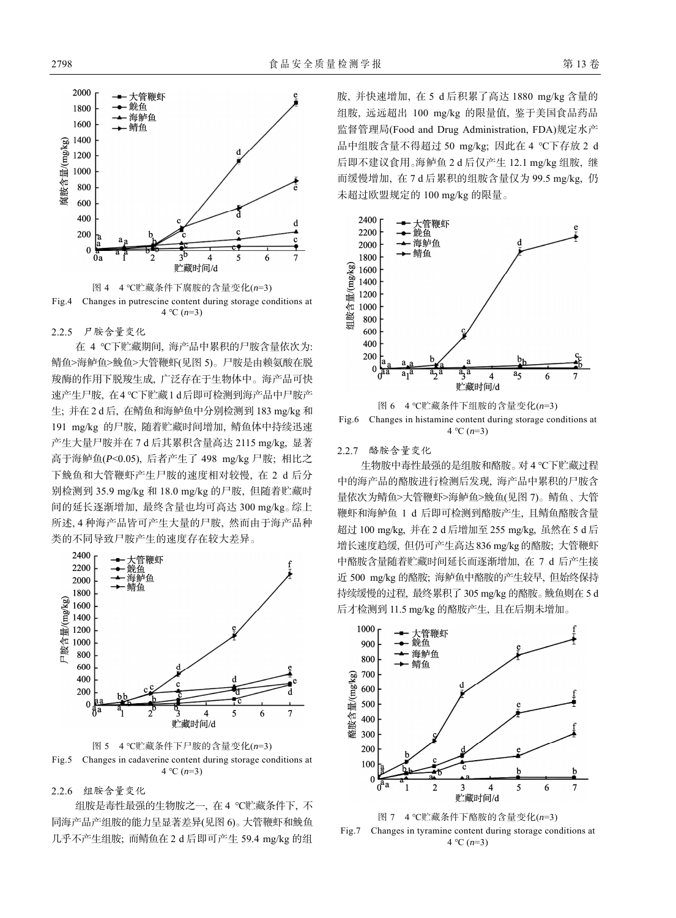



2.2.5 尸胺含量变化

在 4 ℃下贮藏期间, 海产品中累积的尸胺含量依次为: 鲭鱼>海鲈鱼>鮸鱼>大管鞭虾(见图 5)。尸胺是由赖氨酸在脱 羧酶的作用下脱羧生成, 广泛存在于生物体中。海产品可快 速产生尸胺, 在4 ℃下贮藏1 d后即可检测到海产品中尸胺产 生; 并在 2 d 后, 在鲭鱼和海鲈鱼中分别检测到 183 mg/kg 和 191 mg/kg 的尸胺, 随着贮藏时间增加, 鲭鱼体中持续迅速 产生大量尸胺并在 7 d 后其累积含量高达 2115 mg/kg, 显著 高于海鲈鱼(*P*<0.05), 后者产生了 498 mg/kg 尸胺; 相比之 下鮸鱼和大管鞭虾产生尸胺的速度相对较慢, 在 2 d 后分 别检测到 35.9 mg/kg 和 18.0 mg/kg 的尸胺, 但随着贮藏时 间的延长逐渐增加, 最终含量也均可高达 300 mg/kg。综上 所述, 4 种海产品皆可产生大量的尸胺, 然而由于海产品种 类的不同导致尸胺产生的速度存在较大差异。



图 5 4 ℃贮藏条件下尸胺的含量变化(*n*=3) Fig.5 Changes in cadaverine content during storage conditions at 4 °C  $(n=3)$ 

2.2.6 组胺含量变化

组胺是毒性最强的生物胺之一, 在 4 ℃贮藏条件下, 不 同海产品产组胺的能力呈显著差异(见图 6)。大管鞭虾和鮸鱼 几乎不产生组胺; 而鲭鱼在 2 d 后即可产生 59.4 mg/kg 的组

胺, 并快速增加, 在 5 d 后积累了高达 1880 mg/kg 含量的 组胺, 远远超出 100 mg/kg 的限量值, 鉴于美国食品药品 监督管理局(Food and Drug Administration, FDA)规定水产 品中组胺含量不得超过 50 mg/kg; 因此在 4 ℃下存放 2 d 后即不建议食用。海鲈鱼 2 d 后仅产生 12.1 mg/kg 组胺, 继 而缓慢增加, 在 7 d 后累积的组胺含量仅为 99.5 mg/kg, 仍 未超过欧盟规定的 100 mg/kg 的限量。



图 6 4 ℃贮藏条件下组胺的含量变化(*n*=3) Fig.6 Changes in histamine content during storage conditions at 4 ℃ (*n*=3)

## 2.2.7 酪胺含量变化

生物胺中毒性最强的是组胺和酪胺。对 4 ℃下贮藏过程 中的海产品的酪胺进行检测后发现, 海产品中累积的尸胺含 量依次为鲭鱼>大管鞭虾>海鲈鱼>鮸鱼(见图 7)。鲭鱼、大管 鞭虾和海鲈鱼 1 d 后即可检测到酪胺产生, 且鲭鱼酪胺含量 超过 100 mg/kg, 并在 2 d 后增加至 255 mg/kg, 虽然在 5 d 后 增长速度趋缓, 但仍可产生高达836 mg/kg的酪胺; 大管鞭虾 中酪胺含量随着贮藏时间延长而逐渐增加, 在 7 d 后产生接 近 500 mg/kg 的酪胺; 海鲈鱼中酪胺的产生较早, 但始终保持 持续缓慢的过程, 最终累积了 305 mg/kg 的酪胺。鮸鱼则在 5 d 后才检测到 11.5 mg/kg 的酪胺产生, 且在后期未增加。





Fig.7 Changes in tyramine content during storage conditions at 4 ℃ (*n*=3)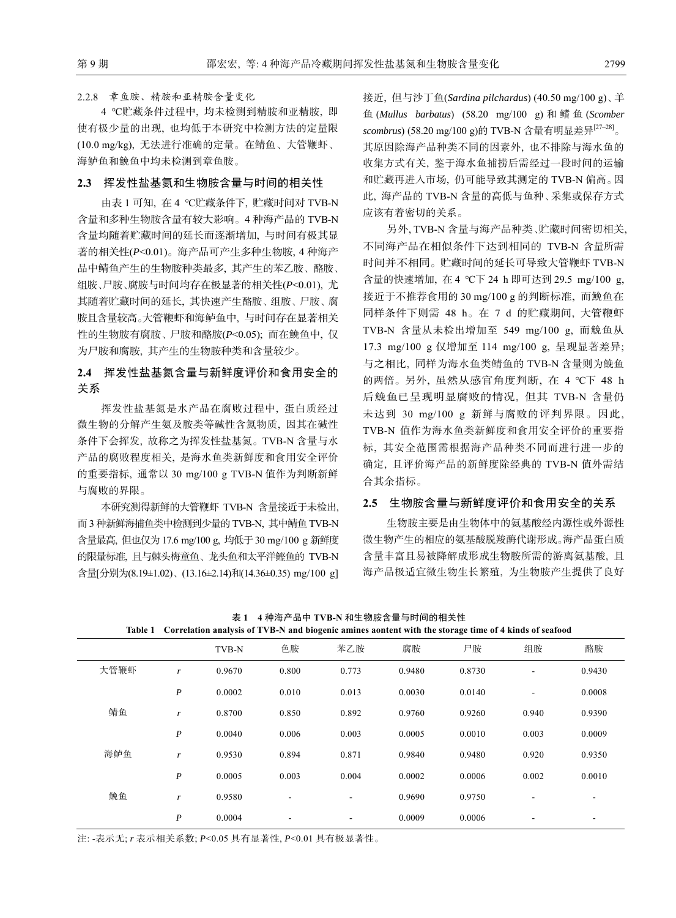#### 2.2.8 章鱼胺、精胺和亚精胺含量变化

4 ℃贮藏条件过程中, 均未检测到精胺和亚精胺, 即 使有极少量的出现, 也均低于本研究中检测方法的定量限 (10.0 mg/kg), 无法进行准确的定量。在鲭鱼、大管鞭虾、 海鲈鱼和鮸鱼中均未检测到章鱼胺。

#### **2.3** 挥发性盐基氮和生物胺含量与时间的相关性

由表 1 可知, 在 4 ℃贮藏条件下, 贮藏时间对 TVB-N 含量和多种生物胺含量有较大影响。4 种海产品的 TVB-N 含量均随着贮藏时间的延长而逐渐增加, 与时间有极其显 著的相关性(*P*<0.01)。海产品可产生多种生物胺, 4 种海产 品中鲭鱼产生的生物胺种类最多, 其产生的苯乙胺、酪胺、 组胺、尸胺、腐胺与时间均存在极显著的相关性(*P*<0.01), 尤 其随着贮藏时间的延长, 其快速产生酪胺、组胺、尸胺、腐 胺且含量较高。大管鞭虾和海鲈鱼中, 与时间存在显著相关 性的生物胺有腐胺、尸胺和酪胺(*P*<0.05); 而在鮸鱼中, 仅 为尸胺和腐胺, 其产生的生物胺种类和含量较少。

## **2.4** 挥发性盐基氮含量与新鲜度评价和食用安全的 关系

挥发性盐基氮是水产品在腐败过程中, 蛋白质经过 微生物的分解产生氨及胺类等碱性含氮物质, 因其在碱性 条件下会挥发, 故称之为挥发性盐基氮。TVB-N 含量与水 产品的腐败程度相关, 是海水鱼类新鲜度和食用安全评价 的重要指标, 通常以 30 mg/100 g TVB-N 值作为判断新鲜 与腐败的界限。

本研究测得新鲜的大管鞭虾 TVB-N 含量接近于未检出, 而 3 种新鲜海捕鱼类中检测到少量的 TVB-N, 其中鲭鱼 TVB-N 含量最高, 但也仅为17.6 mg/100 g, 均低于30 mg/100 g 新鲜度 的限量标准, 且与棘头梅童鱼、龙头鱼和太平洋鲣鱼的 TVB-N 含量[分别为(8.19±1.02)、(13.16±2.14)和(14.36±0.35) mg/100 g] 接近, 但与沙丁鱼(*Sardina pilchardus*) (40.50 mg/100 g)、羊 鱼 (*Mullus barbatus*) (58.20 mg/100 g) 和鳍鱼 (*Scomber scombrus*) (58.20 mg/100 g)的 TVB-N 含量有明显差异[27‒28]。 其原因除海产品种类不同的因素外, 也不排除与海水鱼的 收集方式有关, 鉴于海水鱼捕捞后需经过一段时间的运输 和贮藏再进入市场, 仍可能导致其测定的 TVB-N 偏高。因 此, 海产品的 TVB-N 含量的高低与鱼种、采集或保存方式 应该有着密切的关系。

另外, TVB-N 含量与海产品种类、贮藏时间密切相关, 不同海产品在相似条件下达到相同的 TVB-N 含量所需 时间并不相同。贮藏时间的延长可导致大管鞭虾 TVB-N 含量的快速增加, 在 4 ℃下 24 h 即可达到 29.5 mg/100 g, 接近于不推荐食用的 30 mg/100 g 的判断标准, 而鮸鱼在 同样条件下则需 48 h。在 7 d 的贮藏期间, 大管鞭虾 TVB-N 含量从未检出增加至 549 mg/100 g, 而鮸鱼从 17.3 mg/100 g 仅增加至 114 mg/100 g, 呈现显著差异; 与之相比, 同样为海水鱼类鲭鱼的 TVB-N 含量则为鮸鱼 的两倍。另外, 虽然从感官角度判断, 在 4 ℃下 48 h 后鮸鱼已呈现明显腐败的情况, 但其 TVB-N 含量仍 未达到 30 mg/100 g 新鲜与腐败的评判界限。因此, TVB-N 值作为海水鱼类新鲜度和食用安全评价的重要指 标, 其安全范围需根据海产品种类不同而进行进一步的 确定, 且评价海产品的新鲜度除经典的 TVB-N 值外需结 合其余指标。

## **2.5** 生物胺含量与新鲜度评价和食用安全的关系

生物胺主要是由生物体中的氨基酸经内源性或外源性 微生物产生的相应的氨基酸脱羧酶代谢形成。海产品蛋白质 含量丰富且易被降解成形成生物胺所需的游离氨基酸, 且 海产品极适宜微生物生长繁殖, 为生物胺产生提供了良好

|      |                  | TVB-N  | 色胺    | 苯乙胺                      | 腐胺     | 尸胺     | 组胺                       | 酪胺     |
|------|------------------|--------|-------|--------------------------|--------|--------|--------------------------|--------|
| 大管鞭虾 | r                | 0.9670 | 0.800 | 0.773                    | 0.9480 | 0.8730 | $\overline{\phantom{a}}$ | 0.9430 |
|      | $\boldsymbol{P}$ | 0.0002 | 0.010 | 0.013                    | 0.0030 | 0.0140 | ٠                        | 0.0008 |
| 鲭鱼   | r                | 0.8700 | 0.850 | 0.892                    | 0.9760 | 0.9260 | 0.940                    | 0.9390 |
|      | $\boldsymbol{P}$ | 0.0040 | 0.006 | 0.003                    | 0.0005 | 0.0010 | 0.003                    | 0.0009 |
| 海鲈鱼  | r                | 0.9530 | 0.894 | 0.871                    | 0.9840 | 0.9480 | 0.920                    | 0.9350 |
|      | $\boldsymbol{P}$ | 0.0005 | 0.003 | 0.004                    | 0.0002 | 0.0006 | 0.002                    | 0.0010 |
| 鮸鱼   | r                | 0.9580 | ٠     | $\overline{\phantom{a}}$ | 0.9690 | 0.9750 | ٠                        | ٠      |
|      | P                | 0.0004 | ٠     | ۰                        | 0.0009 | 0.0006 | ٠                        | ٠      |

表 **1 4** 种海产品中 **TVB-N** 和生物胺含量与时间的相关性 **Table 1 Correlation analysis of TVB-N and biogenic amines aontent with the storage time of 4 kinds of seafood** 

注: -表示无; *r* 表示相关系数; *P*<0.05 具有显著性, *P*<0.01 具有极显著性。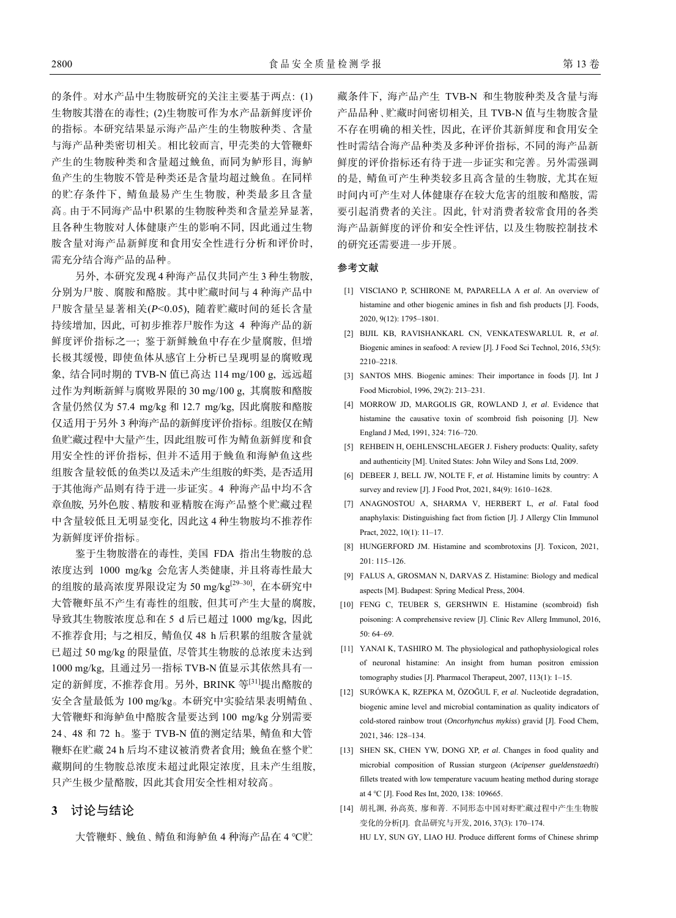的条件。对水产品中生物胺研究的关注主要基于两点: (1) 生物胺其潜在的毒性; (2)生物胺可作为水产品新鲜度评价 的指标。本研究结果显示海产品产生的生物胺种类、含量 与海产品种类密切相关。相比较而言, 甲壳类的大管鞭虾 产生的生物胺种类和含量超过鮸鱼, 而同为鲈形目, 海鲈 鱼产生的生物胺不管是种类还是含量均超过鮸鱼。在同样 的贮存条件下, 鲭鱼最易产生生物胺, 种类最多且含量 高。由于不同海产品中积累的生物胺种类和含量差异显著, 且各种生物胺对人体健康产生的影响不同, 因此通过生物 胺含量对海产品新鲜度和食用安全性进行分析和评价时, 需充分结合海产品的品种。

另外, 本研究发现 4 种海产品仅共同产生 3 种生物胺, 分别为尸胺、腐胺和酪胺。其中贮藏时间与 4 种海产品中 尸胺含量呈显著相关(*P*<0.05), 随着贮藏时间的延长含量 持续增加, 因此, 可初步推荐尸胺作为这 4 种海产品的新 鲜度评价指标之一; 鉴于新鲜鮸鱼中存在少量腐胺, 但增 长极其缓慢, 即使鱼体从感官上分析已呈现明显的腐败现 象, 结合同时期的 TVB-N 值已高达 114 mg/100 g, 远远超 过作为判断新鲜与腐败界限的 30 mg/100 g, 其腐胺和酪胺 含量仍然仅为 57.4 mg/kg 和 12.7 mg/kg, 因此腐胺和酪胺 仅适用于另外 3 种海产品的新鲜度评价指标。组胺仅在鲭 鱼贮藏过程中大量产生, 因此组胺可作为鲭鱼新鲜度和食 用安全性的评价指标, 但并不适用于鮸鱼和海鲈鱼这些 组胺含量较低的鱼类以及适未产生组胺的虾类, 是否适用 于其他海产品则有待于进一步证实。4 种海产品中均不含 章鱼胺, 另外色胺、精胺和亚精胺在海产品整个贮藏过程 中含量较低且无明显变化, 因此这 4 种生物胺均不推荐作 为新鲜度评价指标。

鉴于生物胺潜在的毒性, 美国 FDA 指出生物胺的总 浓度达到 1000 mg/kg 会危害人类健康, 并且将毒性最大 的组胺的最高浓度界限设定为 50 mg/kg<sup>[29-30]</sup>, 在本研究中 大管鞭虾虽不产生有毒性的组胺, 但其可产生大量的腐胺, 导致其生物胺浓度总和在 5 d 后已超过 1000 mg/kg, 因此 不推荐食用; 与之相反, 鲭鱼仅 48 h 后积累的组胺含量就 已超过 50 mg/kg 的限量值, 尽管其生物胺的总浓度未达到 1000 mg/kg, 且通过另一指标 TVB-N 值显示其依然具有一 定的新鲜度, 不推荐食用。另外, BRINK 等[31]提出酪胺的 安全含量最低为 100 mg/kg。本研究中实验结果表明鲭鱼、 大管鞭虾和海鲈鱼中酪胺含量要达到 100 mg/kg 分别需要 24、48 和 72 h。鉴于 TVB-N 值的测定结果, 鲭鱼和大管 鞭虾在贮藏 24 h 后均不建议被消费者食用; 鮸鱼在整个贮 藏期间的生物胺总浓度未超过此限定浓度, 且未产生组胺, 只产生极少量酪胺, 因此其食用安全性相对较高。

## **3** 讨论与结论

大管鞭虾、鮸鱼、鲭鱼和海鲈鱼 4 种海产品在 4 ℃贮

藏条件下, 海产品产生 TVB-N 和生物胺种类及含量与海 产品品种、贮藏时间密切相关, 且 TVB-N 值与生物胺含量 不存在明确的相关性, 因此, 在评价其新鲜度和食用安全 性时需结合海产品种类及多种评价指标, 不同的海产品新 鲜度的评价指标还有待于进一步证实和完善。另外需强调 的是, 鲭鱼可产生种类较多且高含量的生物胺, 尤其在短 时间内可产生对人体健康存在较大危害的组胺和酪胺, 需 要引起消费者的关注。因此, 针对消费者较常食用的各类 海产品新鲜度的评价和安全性评估, 以及生物胺控制技术 的研究还需要进一步开展。

#### 参考文献

- [1] VISCIANO P, SCHIRONE M, PAPARELLA A *et al*. An overview of histamine and other biogenic amines in fish and fish products [J]. Foods, 2020, 9(12): 1795‒1801.
- [2] BIJIL KB, RAVISHANKARL CN, VENKATESWARLUL R, *et al*. Biogenic amines in seafood: A review [J]. J Food Sci Technol, 2016, 53(5): 2210‒2218.
- [3] SANTOS MHS. Biogenic amines: Their importance in foods [J]. Int J Food Microbiol, 1996, 29(2): 213‒231.
- [4] MORROW JD, MARGOLIS GR, ROWLAND J, *et al*. Evidence that histamine the causative toxin of scombroid fish poisoning [J]. New England J Med, 1991, 324: 716–720.
- [5] REHBEIN H, OEHLENSCHLAEGER J. Fishery products: Quality, safety and authenticity [M]. United States: John Wiley and Sons Ltd, 2009.
- [6] DEBEER J, BELL JW, NOLTE F, *et al.* Histamine limits by country: A survey and review [J]. J Food Prot, 2021, 84(9): 1610-1628.
- [7] ANAGNOSTOU A, SHARMA V, HERBERT L, *et al*. Fatal food anaphylaxis: Distinguishing fact from fiction [J]. J Allergy Clin Immunol Pract, 2022, 10(1): 11-17.
- [8] HUNGERFORD JM. Histamine and scombrotoxins [J]. Toxicon, 2021, 201: 115‒126.
- [9] FALUS A, GROSMAN N, DARVAS Z. Histamine: Biology and medical aspects [M]. Budapest: Spring Medical Press, 2004.
- [10] FENG C, TEUBER S, GERSHWIN E. Histamine (scombroid) fish poisoning: A comprehensive review [J]. Clinic Rev Allerg Immunol, 2016, 50: 64–69.
- [11] YANAI K, TASHIRO M. The physiological and pathophysiological roles of neuronal histamine: An insight from human positron emission tomography studies [J]. Pharmacol Therapeut, 2007, 113(1): 1-15.
- [12] SURÓWKA K, RZEPKA M, ÖZOĞUL F, *et al*. Nucleotide degradation, biogenic amine level and microbial contamination as quality indicators of cold-stored rainbow trout (*Oncorhynchus mykiss*) gravid [J]. Food Chem, 2021, 346: 128‒134.
- [13] SHEN SK, CHEN YW, DONG XP, et al. Changes in food quality and microbial composition of Russian sturgeon (*Acipenser gueldenstaedti*) fillets treated with low temperature vacuum heating method during storage at 4 ℃ [J]. Food Res Int, 2020, 138: 109665.
- [14] 胡礼渊, 孙高英, 廖和菁. 不同形态中国对虾贮藏过程中产生生物胺 变化的分析[J]. 食品研究与开发, 2016, 37(3): 170‒174. HU LY, SUN GY, LIAO HJ. Produce different forms of Chinese shrimp